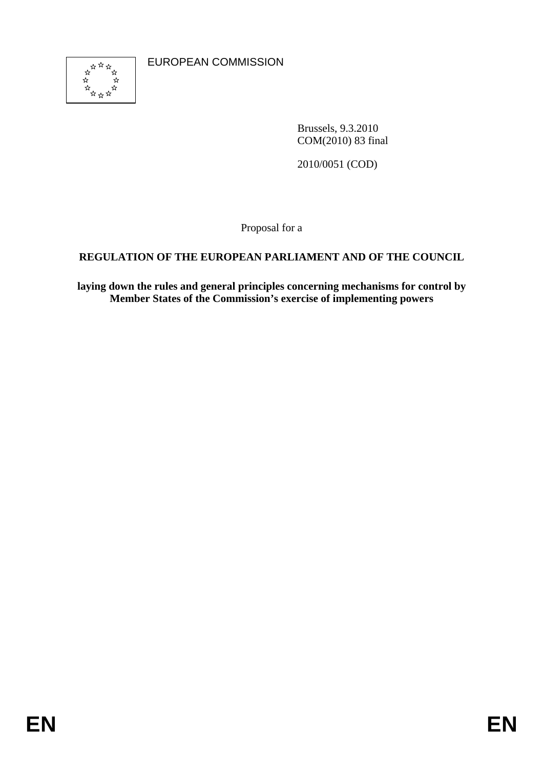

EUROPEAN COMMISSION

Brussels, 9.3.2010 COM(2010) 83 final

2010/0051 (COD)

Proposal for a

## **REGULATION OF THE EUROPEAN PARLIAMENT AND OF THE COUNCIL**

**laying down the rules and general principles concerning mechanisms for control by Member States of the Commission's exercise of implementing powers**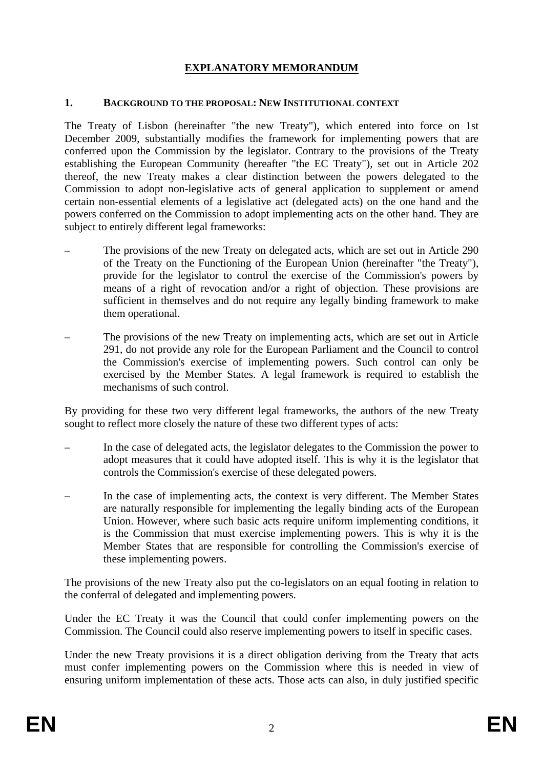## **EXPLANATORY MEMORANDUM**

#### **1. BACKGROUND TO THE PROPOSAL: NEW INSTITUTIONAL CONTEXT**

The Treaty of Lisbon (hereinafter "the new Treaty"), which entered into force on 1st December 2009, substantially modifies the framework for implementing powers that are conferred upon the Commission by the legislator. Contrary to the provisions of the Treaty establishing the European Community (hereafter "the EC Treaty"), set out in Article 202 thereof, the new Treaty makes a clear distinction between the powers delegated to the Commission to adopt non-legislative acts of general application to supplement or amend certain non-essential elements of a legislative act (delegated acts) on the one hand and the powers conferred on the Commission to adopt implementing acts on the other hand. They are subject to entirely different legal frameworks:

- The provisions of the new Treaty on delegated acts, which are set out in Article 290 of the Treaty on the Functioning of the European Union (hereinafter "the Treaty"), provide for the legislator to control the exercise of the Commission's powers by means of a right of revocation and/or a right of objection. These provisions are sufficient in themselves and do not require any legally binding framework to make them operational.
- The provisions of the new Treaty on implementing acts, which are set out in Article 291, do not provide any role for the European Parliament and the Council to control the Commission's exercise of implementing powers. Such control can only be exercised by the Member States. A legal framework is required to establish the mechanisms of such control.

By providing for these two very different legal frameworks, the authors of the new Treaty sought to reflect more closely the nature of these two different types of acts:

- In the case of delegated acts, the legislator delegates to the Commission the power to adopt measures that it could have adopted itself. This is why it is the legislator that controls the Commission's exercise of these delegated powers.
- In the case of implementing acts, the context is very different. The Member States are naturally responsible for implementing the legally binding acts of the European Union. However, where such basic acts require uniform implementing conditions, it is the Commission that must exercise implementing powers. This is why it is the Member States that are responsible for controlling the Commission's exercise of these implementing powers.

The provisions of the new Treaty also put the co-legislators on an equal footing in relation to the conferral of delegated and implementing powers.

Under the EC Treaty it was the Council that could confer implementing powers on the Commission. The Council could also reserve implementing powers to itself in specific cases.

Under the new Treaty provisions it is a direct obligation deriving from the Treaty that acts must confer implementing powers on the Commission where this is needed in view of ensuring uniform implementation of these acts. Those acts can also, in duly justified specific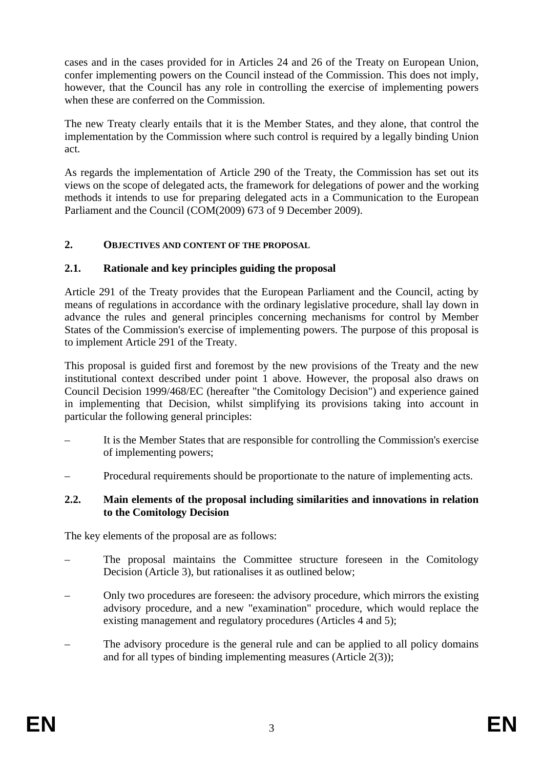cases and in the cases provided for in Articles 24 and 26 of the Treaty on European Union, confer implementing powers on the Council instead of the Commission. This does not imply, however, that the Council has any role in controlling the exercise of implementing powers when these are conferred on the Commission.

The new Treaty clearly entails that it is the Member States, and they alone, that control the implementation by the Commission where such control is required by a legally binding Union act.

As regards the implementation of Article 290 of the Treaty, the Commission has set out its views on the scope of delegated acts, the framework for delegations of power and the working methods it intends to use for preparing delegated acts in a Communication to the European Parliament and the Council (COM(2009) 673 of 9 December 2009).

### **2. OBJECTIVES AND CONTENT OF THE PROPOSAL**

#### **2.1. Rationale and key principles guiding the proposal**

Article 291 of the Treaty provides that the European Parliament and the Council, acting by means of regulations in accordance with the ordinary legislative procedure, shall lay down in advance the rules and general principles concerning mechanisms for control by Member States of the Commission's exercise of implementing powers. The purpose of this proposal is to implement Article 291 of the Treaty.

This proposal is guided first and foremost by the new provisions of the Treaty and the new institutional context described under point 1 above. However, the proposal also draws on Council Decision 1999/468/EC (hereafter "the Comitology Decision") and experience gained in implementing that Decision, whilst simplifying its provisions taking into account in particular the following general principles:

- It is the Member States that are responsible for controlling the Commission's exercise of implementing powers;
- Procedural requirements should be proportionate to the nature of implementing acts.

#### **2.2. Main elements of the proposal including similarities and innovations in relation to the Comitology Decision**

The key elements of the proposal are as follows:

- The proposal maintains the Committee structure foreseen in the Comitology Decision (Article 3), but rationalises it as outlined below;
- Only two procedures are foreseen: the advisory procedure, which mirrors the existing advisory procedure, and a new "examination" procedure, which would replace the existing management and regulatory procedures (Articles 4 and 5);
- The advisory procedure is the general rule and can be applied to all policy domains and for all types of binding implementing measures (Article 2(3));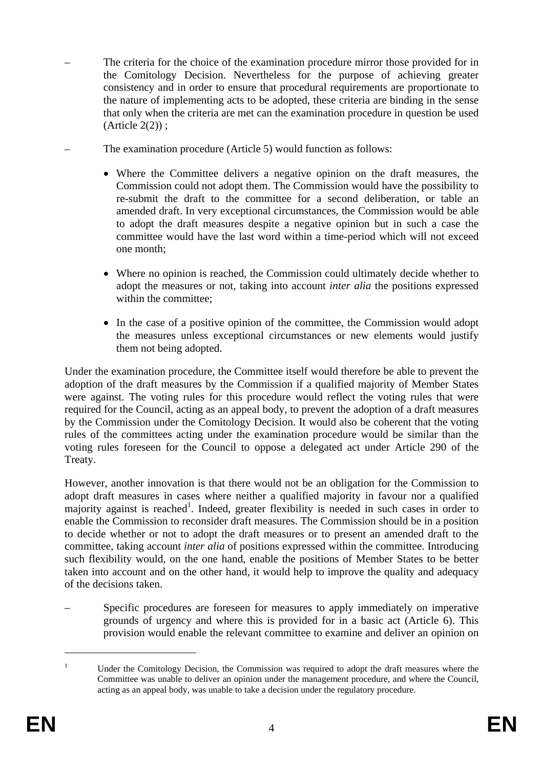- The criteria for the choice of the examination procedure mirror those provided for in the Comitology Decision. Nevertheless for the purpose of achieving greater consistency and in order to ensure that procedural requirements are proportionate to the nature of implementing acts to be adopted, these criteria are binding in the sense that only when the criteria are met can the examination procedure in question be used (Article 2(2)) ;
- The examination procedure (Article 5) would function as follows:
	- Where the Committee delivers a negative opinion on the draft measures, the Commission could not adopt them. The Commission would have the possibility to re-submit the draft to the committee for a second deliberation, or table an amended draft. In very exceptional circumstances, the Commission would be able to adopt the draft measures despite a negative opinion but in such a case the committee would have the last word within a time-period which will not exceed one month;
	- Where no opinion is reached, the Commission could ultimately decide whether to adopt the measures or not, taking into account *inter alia* the positions expressed within the committee;
	- In the case of a positive opinion of the committee, the Commission would adopt the measures unless exceptional circumstances or new elements would justify them not being adopted.

Under the examination procedure, the Committee itself would therefore be able to prevent the adoption of the draft measures by the Commission if a qualified majority of Member States were against. The voting rules for this procedure would reflect the voting rules that were required for the Council, acting as an appeal body, to prevent the adoption of a draft measures by the Commission under the Comitology Decision. It would also be coherent that the voting rules of the committees acting under the examination procedure would be similar than the voting rules foreseen for the Council to oppose a delegated act under Article 290 of the Treaty.

However, another innovation is that there would not be an obligation for the Commission to adopt draft measures in cases where neither a qualified majority in favour nor a qualified majority against is reached<sup>1</sup>. Indeed, greater flexibility is needed in such cases in order to enable the Commission to reconsider draft measures. The Commission should be in a position to decide whether or not to adopt the draft measures or to present an amended draft to the committee, taking account *inter alia* of positions expressed within the committee. Introducing such flexibility would, on the one hand, enable the positions of Member States to be better taken into account and on the other hand, it would help to improve the quality and adequacy of the decisions taken.

– Specific procedures are foreseen for measures to apply immediately on imperative grounds of urgency and where this is provided for in a basic act (Article 6). This provision would enable the relevant committee to examine and deliver an opinion on

1

<sup>1</sup> Under the Comitology Decision, the Commission was required to adopt the draft measures where the Committee was unable to deliver an opinion under the management procedure, and where the Council, acting as an appeal body, was unable to take a decision under the regulatory procedure.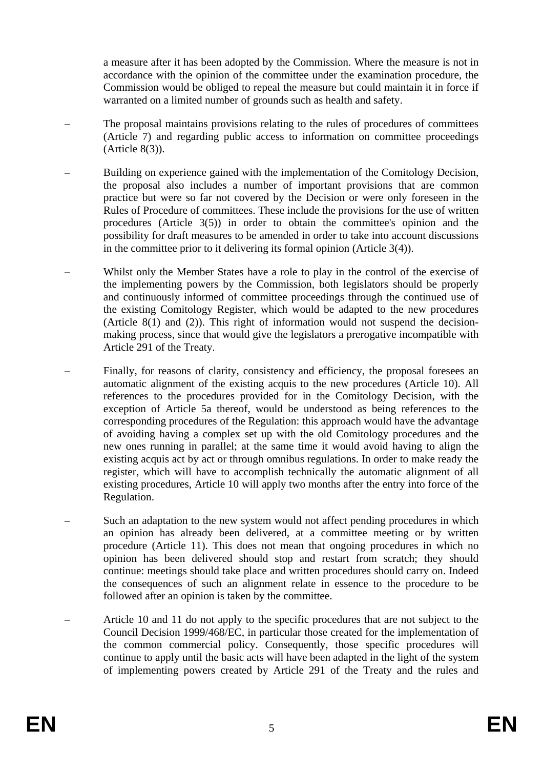a measure after it has been adopted by the Commission. Where the measure is not in accordance with the opinion of the committee under the examination procedure, the Commission would be obliged to repeal the measure but could maintain it in force if warranted on a limited number of grounds such as health and safety.

- The proposal maintains provisions relating to the rules of procedures of committees (Article 7) and regarding public access to information on committee proceedings (Article 8(3)).
- Building on experience gained with the implementation of the Comitology Decision, the proposal also includes a number of important provisions that are common practice but were so far not covered by the Decision or were only foreseen in the Rules of Procedure of committees. These include the provisions for the use of written procedures (Article 3(5)) in order to obtain the committee's opinion and the possibility for draft measures to be amended in order to take into account discussions in the committee prior to it delivering its formal opinion (Article 3(4)).
- Whilst only the Member States have a role to play in the control of the exercise of the implementing powers by the Commission, both legislators should be properly and continuously informed of committee proceedings through the continued use of the existing Comitology Register, which would be adapted to the new procedures (Article 8(1) and (2)). This right of information would not suspend the decisionmaking process, since that would give the legislators a prerogative incompatible with Article 291 of the Treaty.
- Finally, for reasons of clarity, consistency and efficiency, the proposal foresees an automatic alignment of the existing acquis to the new procedures (Article 10). All references to the procedures provided for in the Comitology Decision, with the exception of Article 5a thereof, would be understood as being references to the corresponding procedures of the Regulation: this approach would have the advantage of avoiding having a complex set up with the old Comitology procedures and the new ones running in parallel; at the same time it would avoid having to align the existing acquis act by act or through omnibus regulations. In order to make ready the register, which will have to accomplish technically the automatic alignment of all existing procedures, Article 10 will apply two months after the entry into force of the Regulation.
- Such an adaptation to the new system would not affect pending procedures in which an opinion has already been delivered, at a committee meeting or by written procedure (Article 11). This does not mean that ongoing procedures in which no opinion has been delivered should stop and restart from scratch; they should continue: meetings should take place and written procedures should carry on. Indeed the consequences of such an alignment relate in essence to the procedure to be followed after an opinion is taken by the committee.
- Article 10 and 11 do not apply to the specific procedures that are not subject to the Council Decision 1999/468/EC, in particular those created for the implementation of the common commercial policy. Consequently, those specific procedures will continue to apply until the basic acts will have been adapted in the light of the system of implementing powers created by Article 291 of the Treaty and the rules and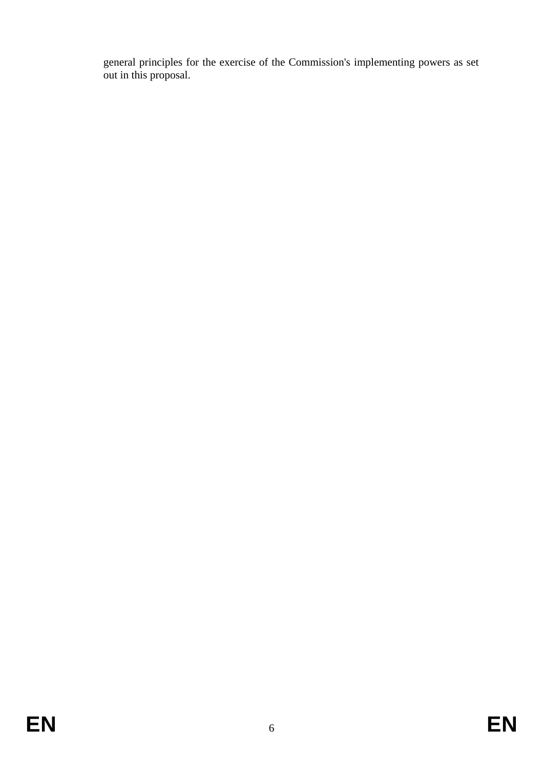general principles for the exercise of the Commission's implementing powers as set out in this proposal.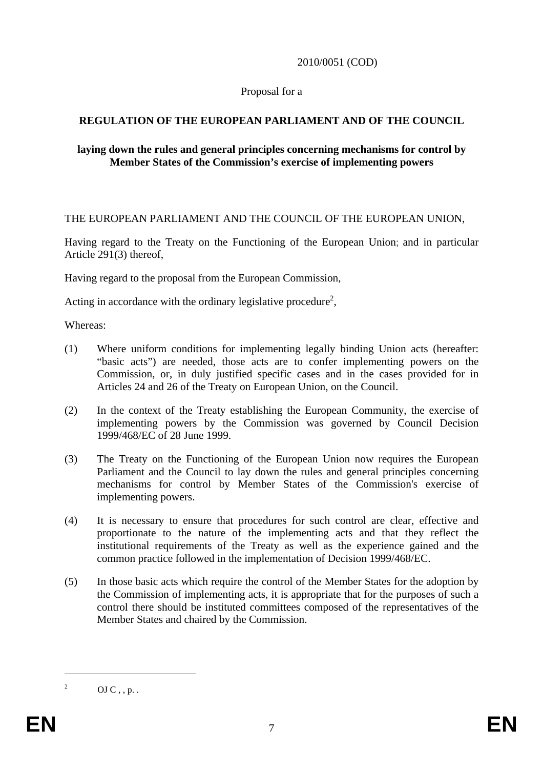#### 2010/0051 (COD)

#### Proposal for a

## **REGULATION OF THE EUROPEAN PARLIAMENT AND OF THE COUNCIL**

#### **laying down the rules and general principles concerning mechanisms for control by Member States of the Commission's exercise of implementing powers**

#### THE EUROPEAN PARLIAMENT AND THE COUNCIL OF THE EUROPEAN UNION,

Having regard to the Treaty on the Functioning of the European Union; and in particular Article 291(3) thereof,

Having regard to the proposal from the European Commission,

Acting in accordance with the ordinary legislative procedure<sup>2</sup>,

Whereas:

- (1) Where uniform conditions for implementing legally binding Union acts (hereafter: "basic acts") are needed, those acts are to confer implementing powers on the Commission, or, in duly justified specific cases and in the cases provided for in Articles 24 and 26 of the Treaty on European Union, on the Council.
- (2) In the context of the Treaty establishing the European Community, the exercise of implementing powers by the Commission was governed by Council Decision 1999/468/EC of 28 June 1999.
- (3) The Treaty on the Functioning of the European Union now requires the European Parliament and the Council to lay down the rules and general principles concerning mechanisms for control by Member States of the Commission's exercise of implementing powers.
- (4) It is necessary to ensure that procedures for such control are clear, effective and proportionate to the nature of the implementing acts and that they reflect the institutional requirements of the Treaty as well as the experience gained and the common practice followed in the implementation of Decision 1999/468/EC.
- (5) In those basic acts which require the control of the Member States for the adoption by the Commission of implementing acts, it is appropriate that for the purposes of such a control there should be instituted committees composed of the representatives of the Member States and chaired by the Commission.

1 2

OJ  $C$ , , p. .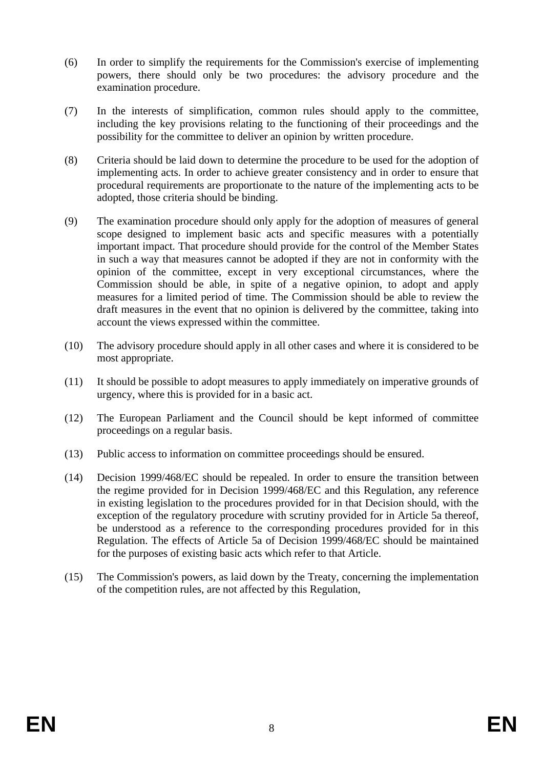- (6) In order to simplify the requirements for the Commission's exercise of implementing powers, there should only be two procedures: the advisory procedure and the examination procedure.
- (7) In the interests of simplification, common rules should apply to the committee, including the key provisions relating to the functioning of their proceedings and the possibility for the committee to deliver an opinion by written procedure.
- (8) Criteria should be laid down to determine the procedure to be used for the adoption of implementing acts. In order to achieve greater consistency and in order to ensure that procedural requirements are proportionate to the nature of the implementing acts to be adopted, those criteria should be binding.
- (9) The examination procedure should only apply for the adoption of measures of general scope designed to implement basic acts and specific measures with a potentially important impact. That procedure should provide for the control of the Member States in such a way that measures cannot be adopted if they are not in conformity with the opinion of the committee, except in very exceptional circumstances, where the Commission should be able, in spite of a negative opinion, to adopt and apply measures for a limited period of time. The Commission should be able to review the draft measures in the event that no opinion is delivered by the committee, taking into account the views expressed within the committee.
- (10) The advisory procedure should apply in all other cases and where it is considered to be most appropriate.
- (11) It should be possible to adopt measures to apply immediately on imperative grounds of urgency, where this is provided for in a basic act.
- (12) The European Parliament and the Council should be kept informed of committee proceedings on a regular basis.
- (13) Public access to information on committee proceedings should be ensured.
- (14) Decision 1999/468/EC should be repealed. In order to ensure the transition between the regime provided for in Decision 1999/468/EC and this Regulation, any reference in existing legislation to the procedures provided for in that Decision should, with the exception of the regulatory procedure with scrutiny provided for in Article 5a thereof, be understood as a reference to the corresponding procedures provided for in this Regulation. The effects of Article 5a of Decision 1999/468/EC should be maintained for the purposes of existing basic acts which refer to that Article.
- (15) The Commission's powers, as laid down by the Treaty, concerning the implementation of the competition rules, are not affected by this Regulation,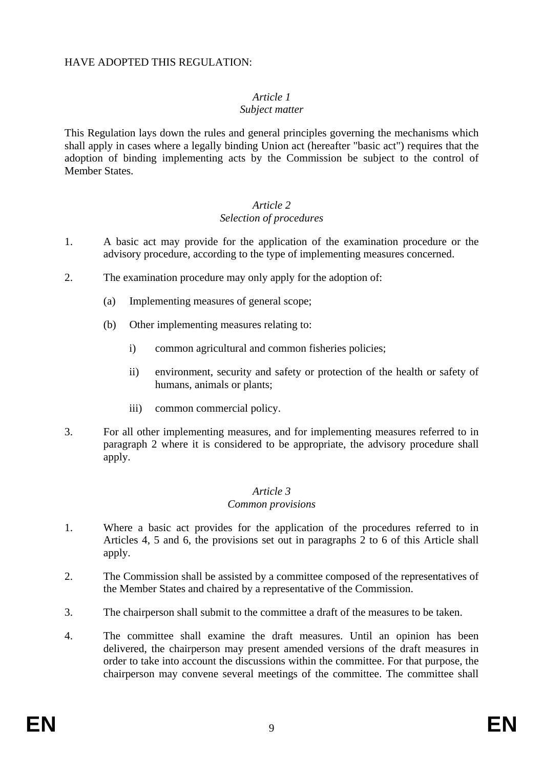#### HAVE ADOPTED THIS REGULATION:

# *Article 1*

#### *Subject matter*

This Regulation lays down the rules and general principles governing the mechanisms which shall apply in cases where a legally binding Union act (hereafter "basic act") requires that the adoption of binding implementing acts by the Commission be subject to the control of Member States.

## *Article 2*

### *Selection of procedures*

- 1. A basic act may provide for the application of the examination procedure or the advisory procedure, according to the type of implementing measures concerned.
- 2. The examination procedure may only apply for the adoption of:
	- (a) Implementing measures of general scope;
	- (b) Other implementing measures relating to:
		- i) common agricultural and common fisheries policies;
		- ii) environment, security and safety or protection of the health or safety of humans, animals or plants;
		- iii) common commercial policy.
- 3. For all other implementing measures, and for implementing measures referred to in paragraph 2 where it is considered to be appropriate, the advisory procedure shall apply.

### *Article 3*

### *Common provisions*

- 1. Where a basic act provides for the application of the procedures referred to in Articles 4, 5 and 6, the provisions set out in paragraphs 2 to 6 of this Article shall apply.
- 2. The Commission shall be assisted by a committee composed of the representatives of the Member States and chaired by a representative of the Commission.
- 3. The chairperson shall submit to the committee a draft of the measures to be taken.
- 4. The committee shall examine the draft measures. Until an opinion has been delivered, the chairperson may present amended versions of the draft measures in order to take into account the discussions within the committee. For that purpose, the chairperson may convene several meetings of the committee. The committee shall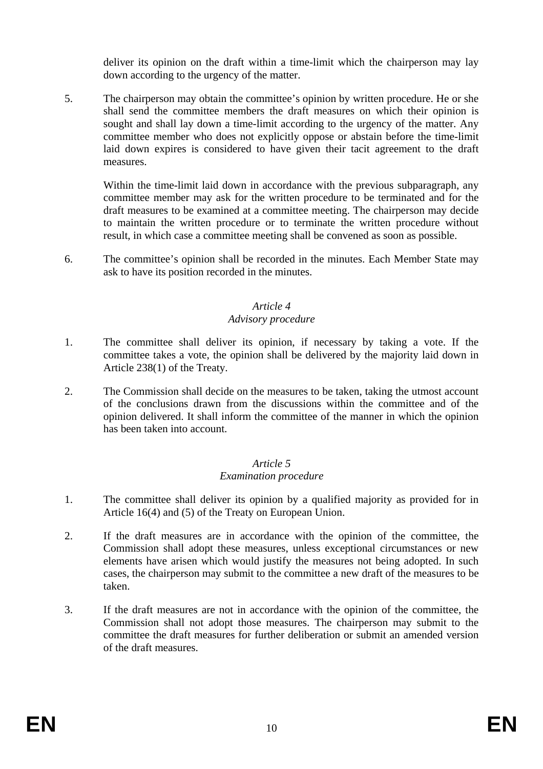deliver its opinion on the draft within a time-limit which the chairperson may lay down according to the urgency of the matter.

5. The chairperson may obtain the committee's opinion by written procedure. He or she shall send the committee members the draft measures on which their opinion is sought and shall lay down a time-limit according to the urgency of the matter. Any committee member who does not explicitly oppose or abstain before the time-limit laid down expires is considered to have given their tacit agreement to the draft measures.

Within the time-limit laid down in accordance with the previous subparagraph, any committee member may ask for the written procedure to be terminated and for the draft measures to be examined at a committee meeting. The chairperson may decide to maintain the written procedure or to terminate the written procedure without result, in which case a committee meeting shall be convened as soon as possible.

6. The committee's opinion shall be recorded in the minutes. Each Member State may ask to have its position recorded in the minutes.

### *Article 4*

### *Advisory procedure*

- 1. The committee shall deliver its opinion, if necessary by taking a vote. If the committee takes a vote, the opinion shall be delivered by the majority laid down in Article 238(1) of the Treaty.
- 2. The Commission shall decide on the measures to be taken, taking the utmost account of the conclusions drawn from the discussions within the committee and of the opinion delivered. It shall inform the committee of the manner in which the opinion has been taken into account.

# *Article 5*

## *Examination procedure*

- 1. The committee shall deliver its opinion by a qualified majority as provided for in Article 16(4) and (5) of the Treaty on European Union.
- 2. If the draft measures are in accordance with the opinion of the committee, the Commission shall adopt these measures, unless exceptional circumstances or new elements have arisen which would justify the measures not being adopted. In such cases, the chairperson may submit to the committee a new draft of the measures to be taken.
- 3. If the draft measures are not in accordance with the opinion of the committee, the Commission shall not adopt those measures. The chairperson may submit to the committee the draft measures for further deliberation or submit an amended version of the draft measures.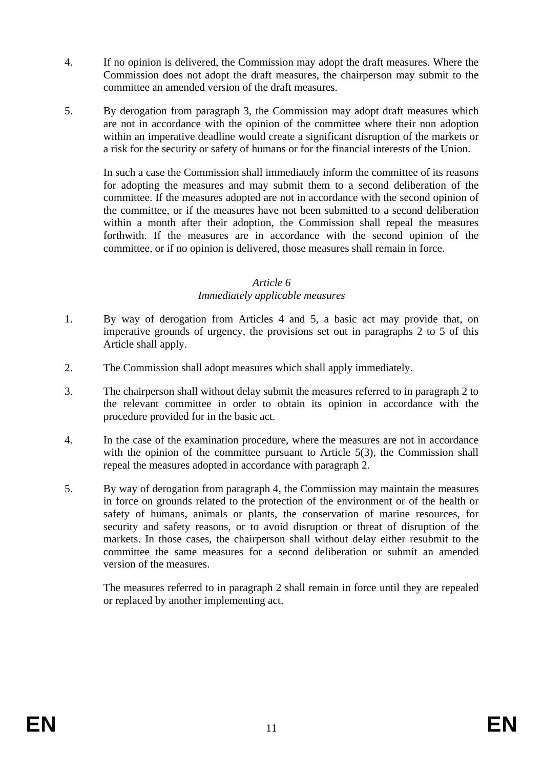- 4. If no opinion is delivered, the Commission may adopt the draft measures. Where the Commission does not adopt the draft measures, the chairperson may submit to the committee an amended version of the draft measures.
- 5. By derogation from paragraph 3, the Commission may adopt draft measures which are not in accordance with the opinion of the committee where their non adoption within an imperative deadline would create a significant disruption of the markets or a risk for the security or safety of humans or for the financial interests of the Union.

In such a case the Commission shall immediately inform the committee of its reasons for adopting the measures and may submit them to a second deliberation of the committee. If the measures adopted are not in accordance with the second opinion of the committee, or if the measures have not been submitted to a second deliberation within a month after their adoption, the Commission shall repeal the measures forthwith. If the measures are in accordance with the second opinion of the committee, or if no opinion is delivered, those measures shall remain in force.

#### *Article 6*

#### *Immediately applicable measures*

- 1. By way of derogation from Articles 4 and 5, a basic act may provide that, on imperative grounds of urgency, the provisions set out in paragraphs 2 to 5 of this Article shall apply.
- 2. The Commission shall adopt measures which shall apply immediately.
- 3. The chairperson shall without delay submit the measures referred to in paragraph 2 to the relevant committee in order to obtain its opinion in accordance with the procedure provided for in the basic act.
- 4. In the case of the examination procedure, where the measures are not in accordance with the opinion of the committee pursuant to Article 5(3), the Commission shall repeal the measures adopted in accordance with paragraph 2.
- 5. By way of derogation from paragraph 4, the Commission may maintain the measures in force on grounds related to the protection of the environment or of the health or safety of humans, animals or plants, the conservation of marine resources, for security and safety reasons, or to avoid disruption or threat of disruption of the markets. In those cases, the chairperson shall without delay either resubmit to the committee the same measures for a second deliberation or submit an amended version of the measures.

The measures referred to in paragraph 2 shall remain in force until they are repealed or replaced by another implementing act.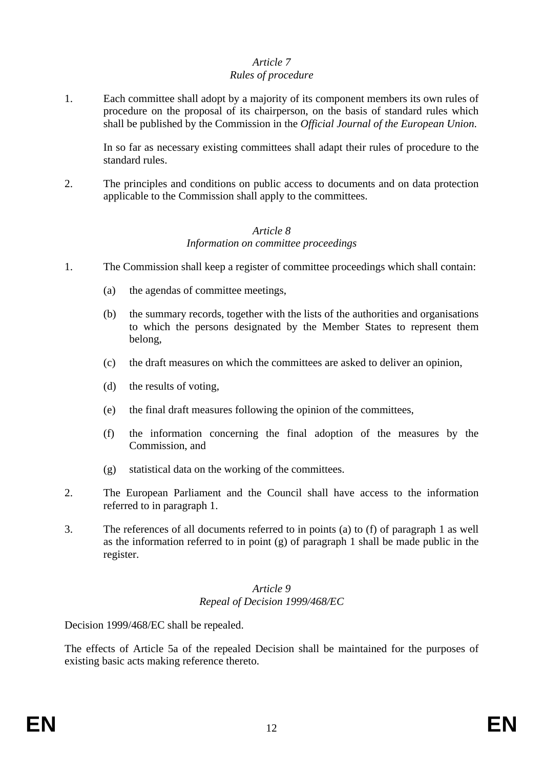#### *Article 7 Rules of procedure*

1. Each committee shall adopt by a majority of its component members its own rules of procedure on the proposal of its chairperson, on the basis of standard rules which shall be published by the Commission in the *Official Journal of the European Union*.

In so far as necessary existing committees shall adapt their rules of procedure to the standard rules.

2. The principles and conditions on public access to documents and on data protection applicable to the Commission shall apply to the committees.

#### *Article 8 Information on committee proceedings*

- 1. The Commission shall keep a register of committee proceedings which shall contain:
	- (a) the agendas of committee meetings,
	- (b) the summary records, together with the lists of the authorities and organisations to which the persons designated by the Member States to represent them belong,
	- (c) the draft measures on which the committees are asked to deliver an opinion,
	- (d) the results of voting,
	- (e) the final draft measures following the opinion of the committees,
	- (f) the information concerning the final adoption of the measures by the Commission, and
	- (g) statistical data on the working of the committees.
- 2. The European Parliament and the Council shall have access to the information referred to in paragraph 1.
- 3. The references of all documents referred to in points (a) to (f) of paragraph 1 as well as the information referred to in point (g) of paragraph 1 shall be made public in the register.

#### *Article 9 Repeal of Decision 1999/468/EC*

Decision 1999/468/EC shall be repealed.

The effects of Article 5a of the repealed Decision shall be maintained for the purposes of existing basic acts making reference thereto.